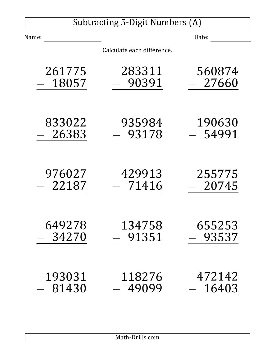# Subtracting 5-Digit Numbers (A)

| Name:  |                            | Date:  |
|--------|----------------------------|--------|
|        | Calculate each difference. |        |
| 261775 | 283311                     | 560874 |
| 18057  | 90391                      | 27660  |
| 833022 | 935984                     | 190630 |
| 26383  | 93178                      | 54991  |
| 976027 | 429913                     | 255775 |
| 22187  | 71416                      | 20745  |
| 649278 | 134758                     | 655253 |
| 34270  | 91351                      | 93537  |
| 193031 | 118276                     | 472142 |
| 81430  | 49099                      | 16403  |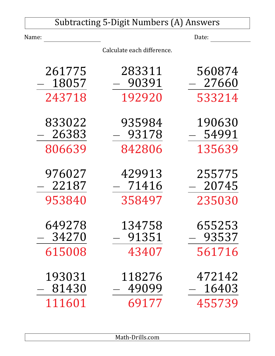|        |       | <b>Subtracting 5-Digit Numbers (A) Answers</b> |        |
|--------|-------|------------------------------------------------|--------|
| Name:  |       |                                                | Date:  |
|        |       | Calculate each difference.                     |        |
| 261775 |       | 283311                                         | 560874 |
|        | 18057 | 90391                                          | 27660  |
| 243718 |       | 192920                                         | 533214 |
| 833022 | 26383 | 935984                                         | 190630 |
|        |       | 93178                                          | 54991  |
| 806639 |       | 842806                                         | 135639 |
| 976027 |       | 429913                                         | 255775 |
|        | 22187 | 71416                                          | 20745  |
| 953840 |       | 358497                                         | 235030 |
| 649278 |       | 134758                                         | 655253 |
|        | 34270 | 91351                                          | 93537  |
| 615008 |       | 43407                                          | 561716 |
| 193031 |       | 118276                                         | 472142 |
|        | 81430 | 49099                                          | 16403  |
| 111601 |       | 69177                                          | 455739 |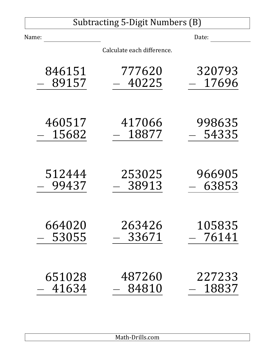|        | Subtracting 5-Digit Numbers (B) |         |
|--------|---------------------------------|---------|
| Name:  |                                 | Date:   |
|        | Calculate each difference.      |         |
| 846151 | 777620                          | 320793  |
| 89157  | 40225                           | 17696   |
| 460517 | 417066                          | 998635  |
| 15682  | 18877                           | - 54335 |
| 512444 | 253025                          | 966905  |
| 99437  | 38913                           | 63853   |
| 664020 | 263426                          | 105835  |
| 53055  | 33671                           | 76141   |
| 651028 | 487260                          | 227233  |
| 41634  | 84810                           | 18837   |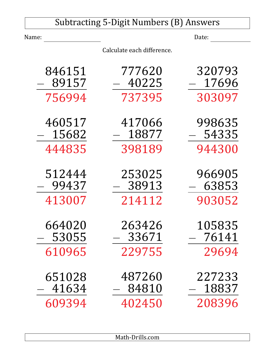|                 | <b>Subtracting 5-Digit Numbers (B) Answers</b> |                 |
|-----------------|------------------------------------------------|-----------------|
| Name:           |                                                | Date:           |
|                 | Calculate each difference.                     |                 |
| 846151<br>89157 | 777620<br>40225                                | 320793<br>17696 |
| 756994          | 737395                                         | 303097          |
| 460517<br>15682 | 417066<br>18877                                | 998635<br>54335 |
| 444835          | 398189                                         | 944300          |
| 512444<br>99437 | 253025<br>38913                                | 966905<br>63853 |
| 413007          | 214112                                         | 903052          |
| 664020<br>53055 | 263426<br>33671                                | 105835<br>76141 |
| 610965          | 229755                                         | 29694           |
| 651028<br>41634 | 487260<br>84810                                | 227233<br>18837 |
| 609394          | 402450                                         | 208396          |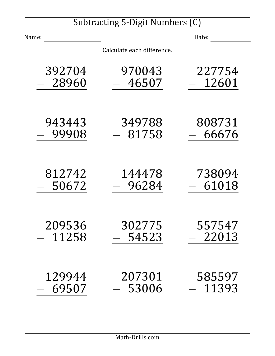# Subtracting 5-Digit Numbers (C)

| Name:  |                            | Date:      |
|--------|----------------------------|------------|
|        | Calculate each difference. |            |
| 392704 | 970043                     | 227754     |
| 28960  | 46507                      | 12601      |
| 943443 | 349788                     | 808731     |
| 99908  | 81758                      | 66676      |
| 812742 | 144478                     | 738094     |
| 50672  | 96284                      | $ \,61018$ |
| 209536 | 302775                     | 557547     |
| 11258  | 54523                      | 22013      |
| 129944 | 207301                     | 585597     |
| 69507  | 53006                      | 11393      |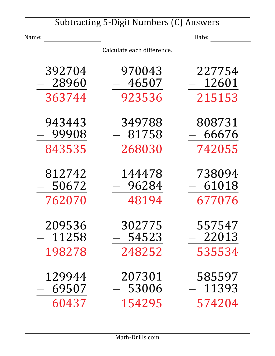|        | <b>Subtracting 5-Digit Numbers (C) Answers</b> |                     |
|--------|------------------------------------------------|---------------------|
| Name:  |                                                | Date:               |
|        | Calculate each difference.                     |                     |
| 392704 | 970043                                         | 227754              |
| 28960  | 46507                                          | 12601               |
| 363744 | 923536                                         | 215153              |
| 943443 | 349788                                         | 808731              |
| 99908  | 81758                                          | 66676               |
| 843535 | 268030                                         | 742055              |
| 812742 | 144478                                         | 738094              |
| 50672  | 96284                                          | $-\phantom{0}61018$ |
| 762070 | 48194                                          | 677076              |
| 209536 | 302775                                         | 557547              |
| 11258  | 54523                                          | 22013               |
| 198278 | 248252                                         | 535534              |
| 129944 | 207301                                         | 585597              |
| 69507  | 53006                                          | 11393               |
| 60437  | 154295                                         | 574204              |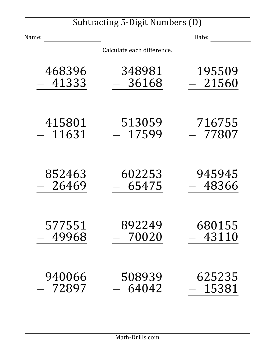### Subtracting 5-Digit Numbers (D) Name: Date: Calculate each difference. 468396 *<sup>−</sup>* 41333 348981 *<sup>−</sup>* 36168 195509 *<sup>−</sup>* 21560 415801 *<sup>−</sup>* 11631 513059 *<sup>−</sup>* 17599 716755 *<sup>−</sup>* 77807

| 852463 | 602253   | 945945 |
|--------|----------|--------|
| 26469  | 65475    | 48366  |
| 577551 | 892249   | 680155 |
| 49968  | $-70020$ | 43110  |
| 940066 | 508939   | 625235 |
| 72897  | 64042    | 15381  |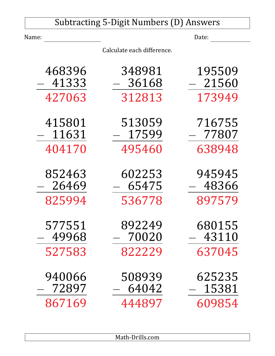| <b>Subtracting 5-Digit Numbers (D) Answers</b> |                            |                 |
|------------------------------------------------|----------------------------|-----------------|
| Name:                                          |                            | Date:           |
|                                                | Calculate each difference. |                 |
| 468396                                         | 348981                     | 195509          |
| 41333                                          | 36168                      | 21560           |
| 427063                                         | 312813                     | 173949          |
| 415801<br>11631                                | 513059<br>17599            | 716755<br>77807 |
| 404170                                         | 495460                     | 638948          |
| 852463<br>26469                                | 602253<br>65475            | 945945<br>48366 |
| 825994                                         | 536778                     | 897579          |
| 577551<br>49968                                | 892249<br>70020            | 680155<br>43110 |
| 527583                                         | 822229                     | 637045          |
| 940066<br>72897                                | 508939<br>64042            | 625235<br>15381 |
| 867169                                         | 444897                     | 609854          |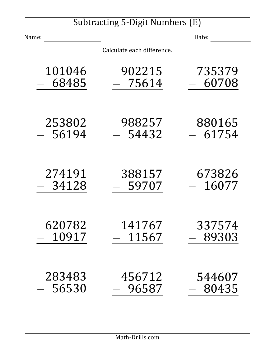# Subtracting 5-Digit Numbers (E)

| Name:  |                            | Date:  |
|--------|----------------------------|--------|
|        | Calculate each difference. |        |
| 101046 | 902215                     | 735379 |
| 68485  | $-75614$                   | 60708  |
| 253802 | 988257                     | 880165 |
| 56194  | 54432                      | 61754  |
| 274191 | 388157                     | 673826 |
| 34128  | 59707                      | 16077  |
| 620782 | 141767                     | 337574 |
| 10917  | 11567                      | 89303  |
| 283483 | 456712                     | 544607 |
| 56530  | 96587                      | 80435  |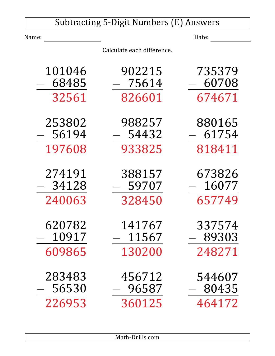| <b>Subtracting 5-Digit Numbers (E) Answers</b> |                            |        |
|------------------------------------------------|----------------------------|--------|
| Name:                                          |                            | Date:  |
|                                                | Calculate each difference. |        |
| 101046                                         | 902215                     | 735379 |
| 68485                                          | - 75614                    | 60708  |
| 32561                                          | 826601                     | 674671 |
| 253802                                         | 988257                     | 880165 |
| 56194                                          | 54432                      | 61754  |
| 197608                                         | 933825                     | 818411 |
| 274191                                         | 388157                     | 673826 |
| 34128                                          | 59707                      | 16077  |
| 240063                                         | 328450                     | 657749 |
| 620782                                         | 141767                     | 337574 |
| 10917                                          | 11567                      | 89303  |
| 609865                                         | 130200                     | 248271 |
| 283483                                         | 456712                     | 544607 |
| 56530                                          | 96587                      | 80435  |
| 226953                                         | 360125                     | 464172 |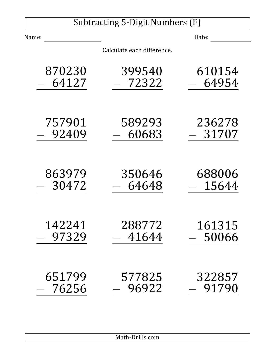# Subtracting 5-Digit Numbers (F)

| Name:  |                            | Date:  |
|--------|----------------------------|--------|
|        | Calculate each difference. |        |
| 870230 | 399540                     | 610154 |
| 64127  | 72322                      | 64954  |
| 757901 | 589293                     | 236278 |
| 92409  | 60683                      | 31707  |
| 863979 | 350646                     | 688006 |
| 30472  | 64648                      | 15644  |
| 142241 | 288772                     | 161315 |
| 97329  | 41644                      | 50066  |
| 651799 | 577825                     | 322857 |
| 76256  | 96922                      | 91790  |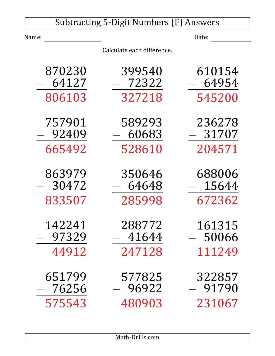|                 | <b>Subtracting 5-Digit Numbers (F) Answers</b> |                 |
|-----------------|------------------------------------------------|-----------------|
| Name:           |                                                | Date:           |
|                 | Calculate each difference.                     |                 |
| 870230          | 399540                                         | 610154          |
| 64127<br>806103 | $-72322$<br>327218                             | 64954<br>545200 |
|                 |                                                |                 |
| 757901<br>92409 | 589293<br>- 60683                              | 236278<br>31707 |
| 665492          | 528610                                         | 204571          |
| 863979<br>30472 | 350646<br>64648                                | 688006<br>15644 |
| 833507          | 285998                                         | 672362          |
| 142241<br>97329 | 288772<br>41644                                | 161315<br>50066 |
| 44912           | 247128                                         | 111249          |
| 651799<br>76256 | 577825<br>96922                                | 322857<br>91790 |
| 575543          | 480903                                         | 231067          |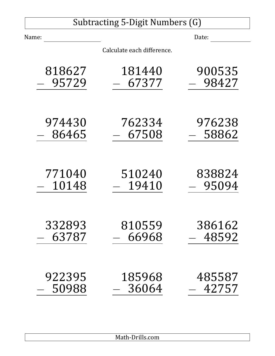# Subtracting 5-Digit Numbers (G)

| Name:  |                            | Date:   |
|--------|----------------------------|---------|
|        | Calculate each difference. |         |
| 818627 | 181440                     | 900535  |
| 95729  | 67377                      | 98427   |
| 974430 | 762334                     | 976238  |
| 86465  | 67508                      | 58862   |
| 771040 | 510240                     | 838824  |
| 10148  | 19410                      | - 95094 |
| 332893 | 810559                     | 386162  |
| 63787  | 66968                      | 48592   |
| 922395 | 185968                     | 485587  |
| 50988  | 36064                      | 42757   |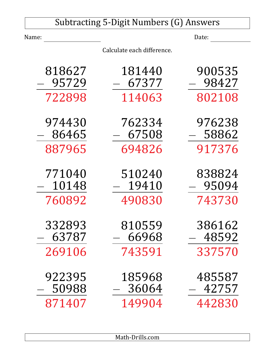| <b>Subtracting 5-Digit Numbers (G) Answers</b> |                            |        |
|------------------------------------------------|----------------------------|--------|
| Name:                                          |                            | Date:  |
|                                                | Calculate each difference. |        |
| 818627                                         | 181440                     | 900535 |
| 95729                                          | 67377                      | 98427  |
| 722898                                         | 114063                     | 802108 |
| 974430                                         | 762334                     | 976238 |
| 86465                                          | - 67508                    | 58862  |
| 887965                                         | 694826                     | 917376 |
| 771040                                         | 510240                     | 838824 |
| 10148                                          | 19410                      | 95094  |
| 760892                                         | 490830                     | 743730 |
| 332893                                         | 810559                     | 386162 |
| 63787                                          | 66968                      | 48592  |
| 269106                                         | 743591                     | 337570 |
| 922395                                         | 185968                     | 485587 |
| 50988                                          | 36064                      | 42757  |
| 871407                                         | 149904                     | 442830 |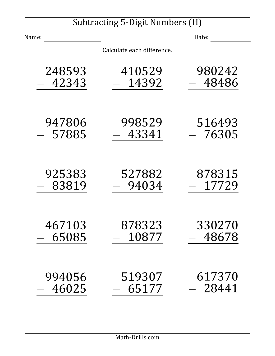# Subtracting 5-Digit Numbers (H)

| Name:  |                            | Date:   |
|--------|----------------------------|---------|
|        | Calculate each difference. |         |
| 248593 | 410529                     | 980242  |
| 42343  | 14392                      | 48486   |
| 947806 | 998529                     | 516493  |
| 57885  | 43341                      | - 76305 |
| 925383 | 527882                     | 878315  |
| 83819  | 94034                      | 17729   |
| 467103 | 878323                     | 330270  |
| 65085  | 10877                      | 48678   |
| 994056 | 519307                     | 617370  |
| 46025  | 65177                      | 28441   |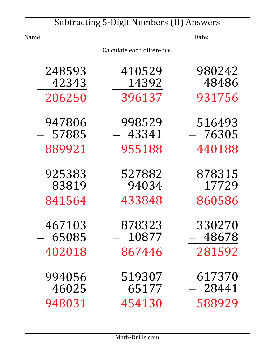| <b>Subtracting 5-Digit Numbers (H) Answers</b> |                            |        |
|------------------------------------------------|----------------------------|--------|
| Name:                                          |                            | Date:  |
|                                                | Calculate each difference. |        |
| 248593                                         | 410529                     | 980242 |
| 42343                                          | 14392                      | 48486  |
| 206250                                         | 396137                     | 931756 |
| 947806                                         | 998529                     | 516493 |
| 57885                                          | - 43341                    | 76305  |
| 889921                                         | 955188                     | 440188 |
| 925383                                         | 527882                     | 878315 |
| 83819                                          | 94034                      | 17729  |
| 841564                                         | 433848                     | 860586 |
| 467103                                         | 878323                     | 330270 |
| 65085                                          | 10877                      | 48678  |
| 402018                                         | 867446                     | 281592 |
| 994056                                         | 519307                     | 617370 |
| 46025                                          | 65177                      | 28441  |
| 948031                                         | 454130                     | 588929 |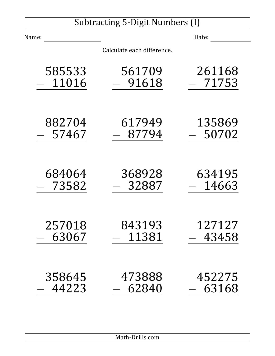# Subtracting 5-Digit Numbers (I)

| Name:  |                            | Date:    |
|--------|----------------------------|----------|
|        | Calculate each difference. |          |
| 585533 | 561709                     | 261168   |
| 11016  | 91618                      | $-71753$ |
| 882704 | 617949                     | 135869   |
| 57467  | $-87794$                   | 50702    |
| 684064 | 368928                     | 634195   |
| 73582  | 32887                      | $-14663$ |
| 257018 | 843193                     | 127127   |
| 63067  | 11381                      | 43458    |
| 358645 | 473888                     | 452275   |
| 44223  | 62840                      | 63168    |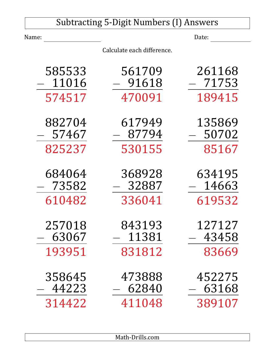| <b>Subtracting 5-Digit Numbers (I) Answers</b> |                            |        |
|------------------------------------------------|----------------------------|--------|
| Name:                                          |                            | Date:  |
|                                                | Calculate each difference. |        |
| 585533                                         | 561709                     | 261168 |
| 11016                                          | 91618                      | 71753  |
| 574517                                         | 470091                     | 189415 |
| 882704                                         | 617949                     | 135869 |
| 57467                                          | 87794                      | 50702  |
| 825237                                         | 530155                     | 85167  |
| 684064                                         | 368928                     | 634195 |
| 73582                                          | 32887                      | 14663  |
| 610482                                         | 336041                     | 619532 |
| 257018                                         | 843193                     | 127127 |
| 63067                                          | 11381                      | 43458  |
| 193951                                         | 831812                     | 83669  |
| 358645                                         | 473888                     | 452275 |
| 44223                                          | 62840                      | 63168  |
| 314422                                         | 411048                     | 389107 |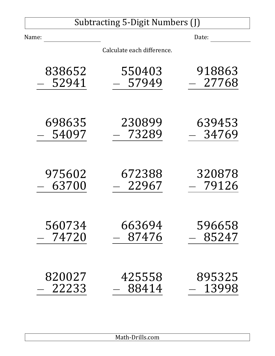# Subtracting 5-Digit Numbers (J)

| Name:  |                            | Date:    |
|--------|----------------------------|----------|
|        | Calculate each difference. |          |
| 838652 | 550403                     | 918863   |
| 52941  | 57949                      | $-27768$ |
| 698635 | 230899                     | 639453   |
| 54097  | 73289                      | 34769    |
| 975602 | 672388                     | 320878   |
| 63700  | 22967                      | - 79126  |
| 560734 | 663694                     | 596658   |
| 74720  | 87476                      | 85247    |
| 820027 | 425558                     | 895325   |
| 22233  | 88414                      | 13998    |